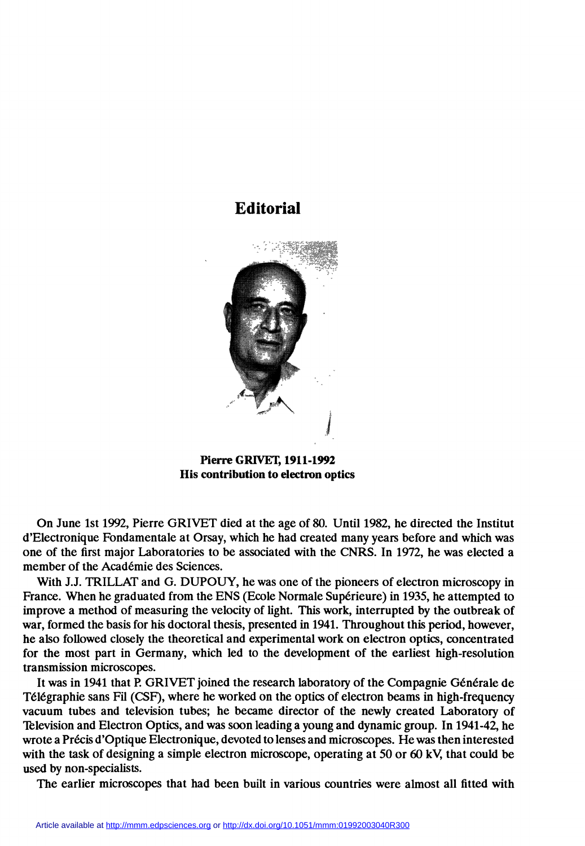

Pierre GRIVET, 1911-1992 His contribution to electron optics

On June Ist 1992, Pierre GRIVET died at the age of 80. Until 1982, he directed the Institut d'Electronique Fondamentale at Orsay, which he had created many years before and which was one of the first major Laboratories to be associated with the CNRS. In 1972, he was elected a member of the Académie des Sciences.

With J.J. TRILLAT and G. DUPOUY, he was one of the pioneers of electron microscopy in France. When he graduated from the ENS (Ecole Normale Supérieure) in 1935, he attempted to improve a method of measuring the velocity of light. This work, interrupted by the outbreak of war, formed the basis for his doctoral thesis, presented in 1941. Throughout this period, however, he also followed closely the theoretical and experimental work on electron optics, concentrated for the most part in Germany, which led to the development of the earliest high-resolution transmission microscopes.

It was in 1941 that R GRIVET joined the research laboratory of the Compagnie Générale de Télégraphie sans Fil (CSF), where he worked on the optics of electron beams in high-frequency vacuum tubes and television tubes; he became director of the newly created Laboratory of Television and Electron Optics, and was soon leading a young and dynamic group. In 1941-42, he wrote a Précis d'Optique Electronique, devoted to lenses and microscopes. He was then interested with the task of designing a simple electron microscope, operating at 50 or 60 kV, that could be used by non-specialists.

The earlier microscopes that had been built in various countries were almost all fitted with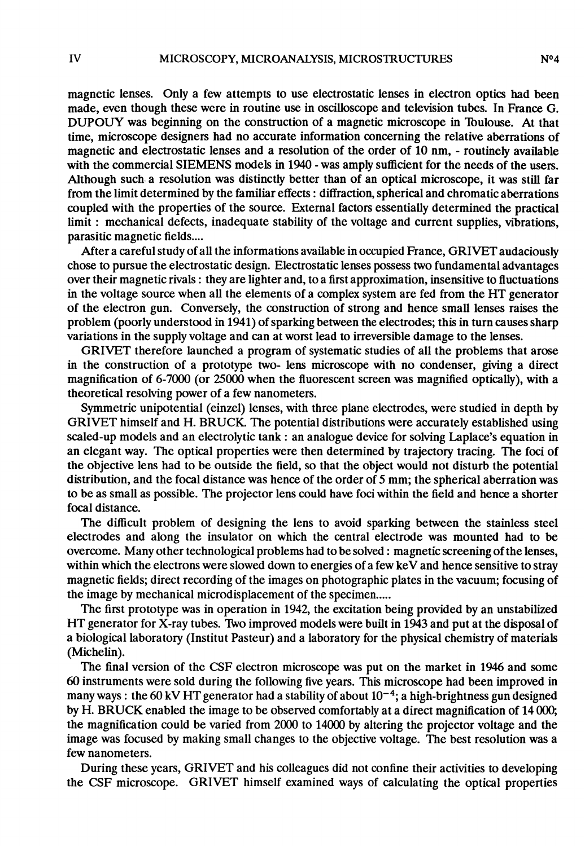magnetic lenses. Only a few attempts to use electrostatic lenses in electron optics had been made, even though these were in routine use in oscilloscope and television tubes. In France G. DUPOUY was beginning on the construction of a magnetic microscope in Tbulouse. At that time, microscope designers had no accurate information concerning the relative aberrations of magnetic and electrostatic lenses and a resolution of the order of 10 nm, - routinely available with the commercial SIEMENS models in 1940 - was amply sufficient for the needs of the users. Although such. a resolution was distinctly better than of an optical microscope, it was still far from the limit determined by the familiar effects : diffraction, spherical and chromatic aberrations coupled with the properties of the source. Extemal factors essentially determined the practical limit : mechanical defects, inadequate stability of the voltage and current supplies, vibrations, parasitic magnetic fields....

After a careful study of all the informations available in occupied France, GRIVET audaciously chose to pursue the electrostatic design. Electrostatic lenses possess two fundamental advantages over their magnetic rivals : they are lighter and, to a first approximation, insensitive to fluctuations in the voltage source when ail the elements of a complex system are fed from the HT generator of the electron gun. Conversely, the construction of strong and hence small lenses raises the problem (poorly understood in 1941) of sparking between the electrodes; this in turn causes sharp variations in the supply voltage and can at worst lead to irreversible damage to the lenses.

GRIVET therefore launched a program of systematic studies of all the problems that arose in the construction of a prototype two- lens microscope with no condenser, giving a direct magnification of 6-7000 (or 25000 when the fluorescent screen was magnified optically), with a theoretical resolving power of a few nanometers.

Symmetric unipotential (einzel) lenses, with three plane electrodes, were studied in depth by GRIVET himself and H. BRUCK. The potential distributions were accurately established using scaled-up models and an electrolytic tank : an analogue device for solving Laplace's equation in an elegant way. The optical properties were then determined by trajectory tracing. The foci of the objective lens had to be outside the field, so that the object would not disturb the potential distribution, and the focal distance was hence of the order of 5 mm; the spherical aberration was to be as small as possible. The projector lens could have foci within the field and hence a shorter focal distance.

The difficult problem of designing the lens to avoid sparking between the stainless steel electrodes and along the insulator on which the central electrode was mounted had to be overcome. Many other technological problems had to be solved : magnetic screening of the lenses, within which the electrons were slowed down to energies of a few keV and hence sensitive to stray magnetic fields; direct recording of the images on photographic plates in the vacuum; focusing of the image by mechanical microdisplacement of the specimen.....

The first prototype was in operation in 1942, the excitation being provided by an unstabilized HT generator for X-ray tubes. Two improved models were built in 1943 and put at the disposal of a biological laboratory (Institut Pasteur) and a laboratory for the physical chemistry of materials (Michelin).

The final version of the CSF electron microscope was put on the market in 1946 and some 60 instruments were sold during the following five years. This microscope had been improved in many ways : the 60 kV HT generator had a stability of about  $10^{-4}$ ; a high-brightness gun designed by H. BRUCK enabled the image to be observed comfortably at a direct magnification of 14 000; the magnification could be varied from 2000 to 14000 by altering the projector voltage and the image was focused by making small changes to the objective voltage. The best resolution was a few nanometers.

During these years, GRIVET and his colleagues did not confine their activities to developing the CSF microscope. GRIVET himself examined ways of calculating the optical properties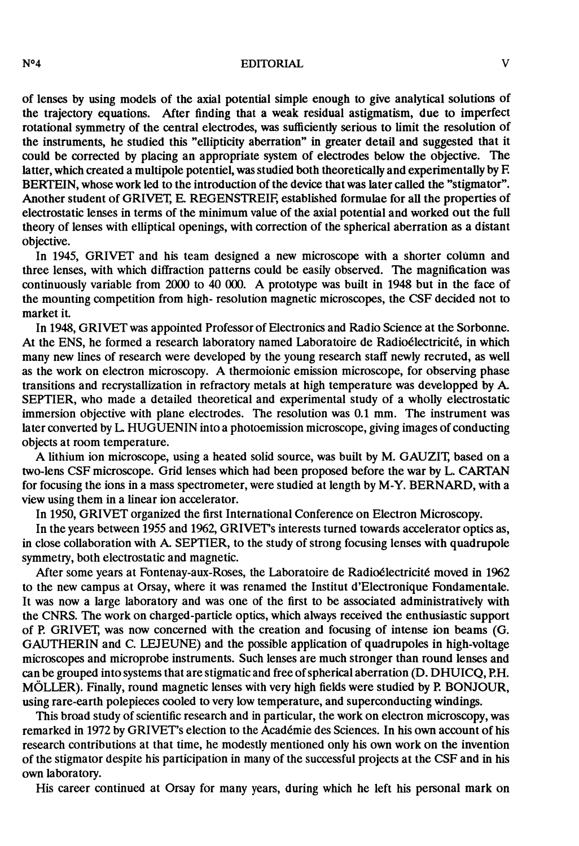N°4 EDITORIAL V

of lenses by using models of the axial potential simple enough to give analytical solutions of the trajectory equations. After finding that a weak residual astigmatism, due to imperfect rotational symmetry of the central electrodes, was sufficiently serious to limit the resolution of the instruments, he studied this "ellipticity aberration" in greater detail and suggested that it could be corrected by placing an appropriate system of electrodes below the objective. The latter, which created a multipole potentiel, was studied both theoretically and experimentally by F. BERTEIN, whose work led to the introduction of the device that was later called the "stigmator". Another student of GRIVET, E. REGENSTREIF, established formulae for all the properties of electrostatic lenses in terms of the minimum value of the axial potential and worked out the full theory of lenses with elliptical openings, with correction of the spherical aberration as a distant objective.

In 1945, GRIVET and his team designed a new microscope with a shorter colùmn and three lenses, with which diffraction patterns could be easily observed. The magnification was continuously variable from 2000 to 40 000. A prototype was built in 1948 but in the face of the mounting competition from high- resolution magnetic microscopes, the CSF decided not to market it.

In 1948, GRIVET was appointed Professor of Electronics and Radio Science at the Sorbonne. At the ENS, he formed a research laboratory named Laboratoire de Radioélectricité, in which many new lines of research were developed by the young research staff newly recruted, as well as the work on electron microscopy. A thermoionic emission microscope, for observing phase transitions and recrystallization in refractory metals at high temperature was developped by A. SEPTIER, who made a detailed theoretical and experimental study of a wholly electrostatic immersion objective with plane electrodes. The resolution was 0.1 mm. The instrument was later converted by L. HUGUENIN into a photoemission microscope, giving images of conducting objects at room temperature.

A lithium ion microscope, using a heated solid source, was built by M. GAUZIT, based on a two-lens CSF microscope. Grid lenses which had been proposed before the war by L. CARTAN for focusing the ions in a mass spectrometer, were studied at length by M-Y. BERNARD, with a view using them in a linear ion accelerator.

In 1950, GRIVET organized the first International Conference on Electron Microscopy.

In the years between 1955 and 1962, GRIVET's interests turned towards accelerator optics as, in close collaboration with A. SEPTIER, to the study of strong focusing lenses with quadrupole symmetry, both electrostatic and magnetic.

After some years at Fontenay-aux-Roses, the Laboratoire de Radioélectricité moved in 1962 to the new campus at Orsay, where it was renamed the Institut d'Electronique Fondamentale. It was now a large laboratory and was one of the first to be associated administratively with the CNRS. The work on charged-particle optics, which always received the enthusiastic support of P GRIVET, was now concerned with the creation and focusing of intense ion beams (G. GAUTHERIN and C. LEJEUNE) and the possible application of quadrupoles in high-voltage microscopes and microprobe instruments. Such lenses are much stronger than round lenses and can be grouped into systems that are stigmatic and free of spherical aberration (D. DHUICQ, RH. MÔLLER). Finally, round magnetic lenses with very high fields were studied by R BONJOUR, using rare-earth polepieces cooled to very low temperature, and superconducting windings.

This broad study of scientific research and in particular, the work on electron microscopy, was remarked in 1972 by GRIVET's election to the Académie des Sciences. In his own account of his research contributions at that time, he modestly mentioned only his own work on the invention of the stigmator despite his participation in many of the successful projects at the CSF and in his own laboratory.

His career continued at Orsay for many years, during which he left his personal mark on